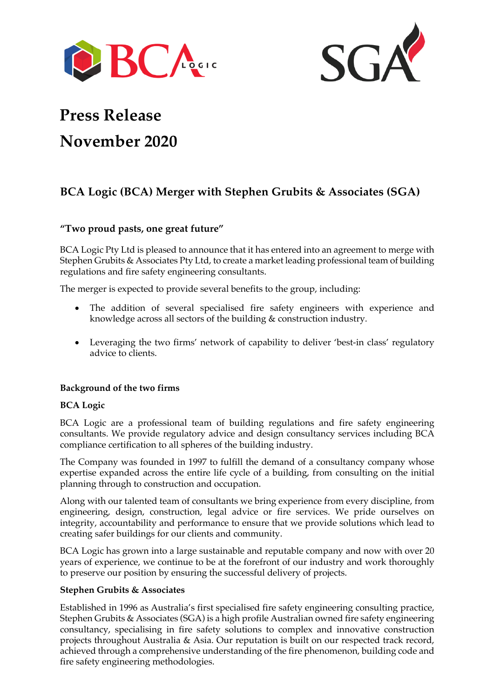



# **Press Release November 2020**

# **BCA Logic (BCA) Merger with Stephen Grubits & Associates (SGA)**

# **"Two proud pasts, one great future"**

BCA Logic Pty Ltd is pleased to announce that it has entered into an agreement to merge with Stephen Grubits & Associates Pty Ltd, to create a market leading professional team of building regulations and fire safety engineering consultants.

The merger is expected to provide several benefits to the group, including:

- The addition of several specialised fire safety engineers with experience and knowledge across all sectors of the building & construction industry.
- Leveraging the two firms' network of capability to deliver 'best-in class' regulatory advice to clients.

# **Background of the two firms**

### **BCA Logic**

BCA Logic are a professional team of building regulations and fire safety engineering consultants. We provide regulatory advice and design consultancy services including BCA compliance certification to all spheres of the building industry.

The Company was founded in 1997 to fulfill the demand of a consultancy company whose expertise expanded across the entire life cycle of a building, from consulting on the initial planning through to construction and occupation.

Along with our talented team of consultants we bring experience from every discipline, from engineering, design, construction, legal advice or fire services. We pride ourselves on integrity, accountability and performance to ensure that we provide solutions which lead to creating safer buildings for our clients and community.

BCA Logic has grown into a large sustainable and reputable company and now with over 20 years of experience, we continue to be at the forefront of our industry and work thoroughly to preserve our position by ensuring the successful delivery of projects.

### **Stephen Grubits & Associates**

Established in 1996 as Australia's first specialised fire safety engineering consulting practice, Stephen Grubits & Associates (SGA) is a high profile Australian owned fire safety engineering consultancy, specialising in fire safety solutions to complex and innovative construction projects throughout Australia & Asia. Our reputation is built on our respected track record, achieved through a comprehensive understanding of the fire phenomenon, building code and fire safety engineering methodologies.